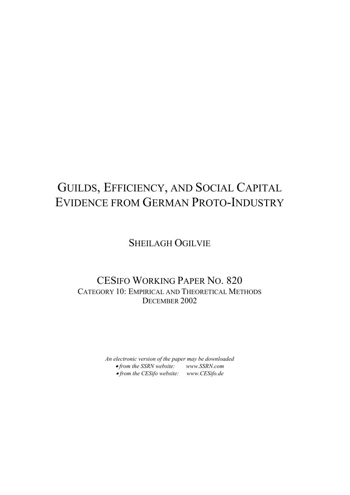# GUILDS, EFFICIENCY, AND SOCIAL CAPITAL EVIDENCE FROM GERMAN PROTO-INDUSTRY

### SHEILAGH OGILVIE

### CESIFO WORKING PAPER NO. 820 CATEGORY 10: EMPIRICAL AND THEORETICAL METHODS DECEMBER 2002

*An electronic version of the paper may be downloaded* • *from the SSRN website: [www.SSRN.com](http://www.ssrn.com/)* • *from the CESifo website: [www.CESifo.de](http://www.cesifo.de/)*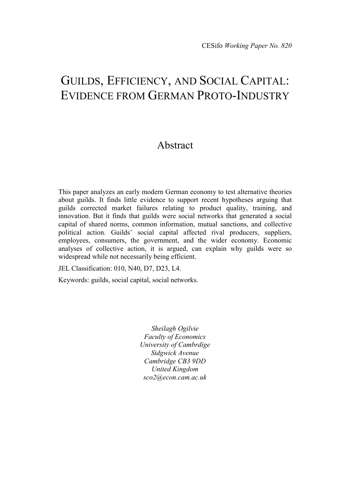## GUILDS, EFFICIENCY, AND SOCIAL CAPITAL: EVIDENCE FROM GERMAN PROTO-INDUSTRY

### Abstract

This paper analyzes an early modern German economy to test alternative theories about guilds. It finds little evidence to support recent hypotheses arguing that guilds corrected market failures relating to product quality, training, and innovation. But it finds that guilds were social networks that generated a social capital of shared norms, common information, mutual sanctions, and collective political action. Guilds' social capital affected rival producers, suppliers, employees, consumers, the government, and the wider economy. Economic analyses of collective action, it is argued, can explain why guilds were so widespread while not necessarily being efficient.

JEL Classification: 010, N40, D7, D23, L4.

Keywords: guilds, social capital, social networks.

*Sheilagh Ogilvie Faculty of Economics University of Cambrdige Sidgwick Avenue Cambridge CB3 9DD United Kingdom sco2@econ.cam.ac.uk*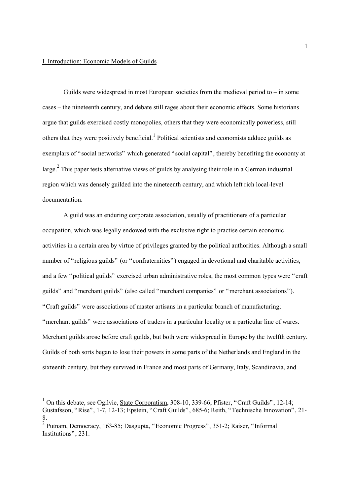$\overline{a}$ 

Guilds were widespread in most European societies from the medieval period to – in some cases – the nineteenth century, and debate still rages about their economic effects. Some historians argue that guilds exercised costly monopolies, others that they were economically powerless, still others that they were positively beneficial.<sup>[1](#page-2-0)</sup> Political scientists and economists adduce guilds as exemplars of "social networks" which generated "social capital", thereby benefiting the economy at large.<sup>[2](#page-2-1)</sup> This paper tests alternative views of guilds by analysing their role in a German industrial region which was densely guilded into the nineteenth century, and which left rich local-level documentation.

A guild was an enduring corporate association, usually of practitioners of a particular occupation, which was legally endowed with the exclusive right to practise certain economic activities in a certain area by virtue of privileges granted by the political authorities. Although a small number of "religious guilds" (or "confraternities") engaged in devotional and charitable activities, and a few "political guilds" exercised urban administrative roles, the most common types were "craft guilds" and "merchant guilds" (also called "merchant companies" or "merchant associations"). "Craft guilds" were associations of master artisans in a particular branch of manufacturing; "merchant guilds" were associations of traders in a particular locality or a particular line of wares. Merchant guilds arose before craft guilds, but both were widespread in Europe by the twelfth century. Guilds of both sorts began to lose their powers in some parts of the Netherlands and England in the sixteenth century, but they survived in France and most parts of Germany, Italy, Scandinavia, and

<span id="page-2-0"></span><sup>&</sup>lt;sup>1</sup> On this debate, see Ogilvie, State Corporatism, 308-10, 339-66; Pfister, "Craft Guilds", 12-14; Gustafsson, "Rise", 1-7, 12-13; Epstein, "Craft Guilds", 685-6; Reith, "Technische Innovation", 21- 8.

<span id="page-2-1"></span><sup>&</sup>lt;sup>2</sup> Putnam, <u>Democracy</u>, 163-85; Dasgupta, "Economic Progress", 351-2; Raiser, "Informal Institutions", 231.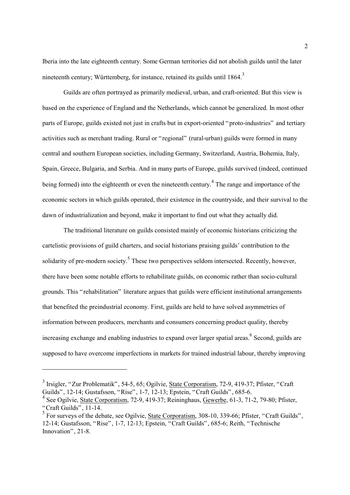Iberia into the late eighteenth century. Some German territories did not abolish guilds until the later nineteenth century; Württemberg, for instance, retained its guilds until 1864.<sup>[3](#page-3-0)</sup>

Guilds are often portrayed as primarily medieval, urban, and craft-oriented. But this view is based on the experience of England and the Netherlands, which cannot be generalized. In most other parts of Europe, guilds existed not just in crafts but in export-oriented "proto-industries" and tertiary activities such as merchant trading. Rural or "regional" (rural-urban) guilds were formed in many central and southern European societies, including Germany, Switzerland, Austria, Bohemia, Italy, Spain, Greece, Bulgaria, and Serbia. And in many parts of Europe, guilds survived (indeed, continued being formed) into the eighteenth or even the nineteenth century.<sup>[4](#page-3-1)</sup> The range and importance of the economic sectors in which guilds operated, their existence in the countryside, and their survival to the dawn of industrialization and beyond, make it important to find out what they actually did.

The traditional literature on guilds consisted mainly of economic historians criticizing the cartelistic provisions of guild charters, and social historians praising guilds' contribution to the solidarity of pre-modern society.<sup>[5](#page-3-2)</sup> These two perspectives seldom intersected. Recently, however, there have been some notable efforts to rehabilitate guilds, on economic rather than socio-cultural grounds. This "rehabilitation" literature argues that guilds were efficient institutional arrangements that benefited the preindustrial economy. First, guilds are held to have solved asymmetries of information between producers, merchants and consumers concerning product quality, thereby increasing exchange and enabling industries to expand over larger spatial areas. <sup>[6](#page-3-3)</sup> Second, guilds are supposed to have overcome imperfections in markets for trained industrial labour, thereby improving

<span id="page-3-3"></span><span id="page-3-0"></span><sup>3</sup> Irsigler, "Zur Problematik", 54-5, 65; Ogilvie, State Corporatism, 72-9, 419-37; Pfister, "Craft Guilds", 12-14; Gustafsson, "Rise", 1-7, 12-13; Epstein, "Craft Guilds", 685-6.

<span id="page-3-1"></span><sup>4</sup> See Ogilvie, State Corporatism, 72-9, 419-37; Reininghaus, Gewerbe, 61-3, 71-2, 79-80; Pfister, "Craft Guilds", 11-14.

<span id="page-3-2"></span><sup>&</sup>lt;sup>5</sup> For surveys of the debate, see Ogilvie, State Corporatism, 308-10, 339-66; Pfister, "Craft Guilds", 12-14; Gustafsson, "Rise", 1-7, 12-13; Epstein, "Craft Guilds", 685-6; Reith, "Technische Innovation", 21-8.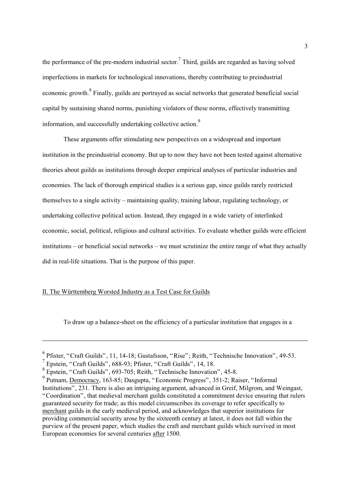the performance of the pre-modern industrial sector.<sup>7</sup> Third, guilds are regarded as having solved imperfections in markets for technological innovations, thereby contributing to preindustrial economic growth.<sup>[8](#page-4-1)</sup> Finally, guilds are portrayed as social networks that generated beneficial social capital by sustaining shared norms, punishing violators of these norms, effectively transmitting information, and successfully undertaking collective action.<sup>[9](#page-4-2)</sup>

These arguments offer stimulating new perspectives on a widespread and important institution in the preindustrial economy. But up to now they have not been tested against alternative theories about guilds as institutions through deeper empirical analyses of particular industries and economies. The lack of thorough empirical studies is a serious gap, since guilds rarely restricted themselves to a single activity – maintaining quality, training labour, regulating technology, or undertaking collective political action. Instead, they engaged in a wide variety of interlinked economic, social, political, religious and cultural activities. To evaluate whether guilds were efficient institutions – or beneficial social networks – we must scrutinize the entire range of what they actually did in real-life situations. That is the purpose of this paper.

#### II. The Württemberg Worsted Industry as a Test Case for Guilds

To draw up a balance-sheet on the efficiency of a particular institution that engages in a

<sup>6</sup> Pfister, "Craft Guilds", 11, 14-18; Gustafsson, "Rise"; Reith, "Technische Innovation", 49-53.

<span id="page-4-0"></span><sup>7</sup> Epstein, "Craft Guilds", 688-93; Pfister, "Craft Guilds", 14, 18.

<span id="page-4-1"></span><sup>8</sup> Epstein, "Craft Guilds", 693-705; Reith, "Technische Innovation", 45-8.

<span id="page-4-2"></span><sup>9</sup> Putnam, Democracy, 163-85; Dasgupta, "Economic Progress", 351-2; Raiser, "Informal Institutions", 231. There is also an intriguing argument, advanced in Greif, Milgrom, and Weingast, "Coordination", that medieval merchant guilds constituted a commitment device ensuring that rulers guaranteed security for trade; as this model circumscribes its coverage to refer specifically to merchant guilds in the early medieval period, and acknowledges that superior institutions for providing commercial security arose by the sixteenth century at latest, it does not fall within the purview of the present paper, which studies the craft and merchant guilds which survived in most European economies for several centuries after 1500.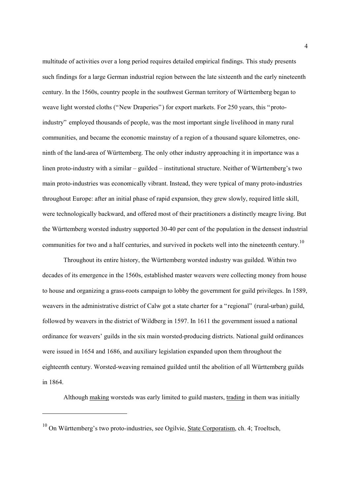<span id="page-5-0"></span>multitude of activities over a long period requires detailed empirical findings. This study presents such findings for a large German industrial region between the late sixteenth and the early nineteenth century. In the 1560s, country people in the southwest German territory of Württemberg began to weave light worsted cloths ("New Draperies") for export markets. For 250 years, this "protoindustry" employed thousands of people, was the most important single livelihood in many rural communities, and became the economic mainstay of a region of a thousand square kilometres, oneninth of the land-area of Württemberg. The only other industry approaching it in importance was a linen proto-industry with a similar – guilded – institutional structure. Neither of Württemberg's two main proto-industries was economically vibrant. Instead, they were typical of many proto-industries throughout Europe: after an initial phase of rapid expansion, they grew slowly, required little skill, were technologically backward, and offered most of their practitioners a distinctly meagre living. But the Württemberg worsted industry supported 30-40 per cent of the population in the densest industrial communities for two and a half centuries, and survived in pockets well into the nineteenth century.<sup>[10](#page-5-0)</sup>

Throughout its entire history, the Württemberg worsted industry was guilded. Within two decades of its emergence in the 1560s, established master weavers were collecting money from house to house and organizing a grass-roots campaign to lobby the government for guild privileges. In 1589, weavers in the administrative district of Calw got a state charter for a "regional" (rural-urban) guild, followed by weavers in the district of Wildberg in 1597. In 1611 the government issued a national ordinance for weavers' guilds in the six main worsted-producing districts. National guild ordinances were issued in 1654 and 1686, and auxiliary legislation expanded upon them throughout the eighteenth century. Worsted-weaving remained guilded until the abolition of all Württemberg guilds in 1864.

Although making worsteds was early limited to guild masters, trading in them was initially

 $10$  On Württemberg's two proto-industries, see Ogilvie, State Corporatism, ch. 4; Troeltsch,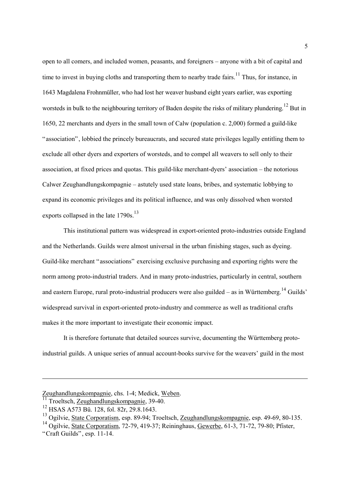open to all comers, and included women, peasants, and foreigners – anyone with a bit of capital and time to invest in buying cloths and transporting them to nearby trade fairs.<sup>11</sup> Thus, for instance, in 1643 Magdalena Frohnmüller, who had lost her weaver husband eight years earlier, was exporting worsteds in bulk to the neighbouring territory of Baden despite the risks of military plundering.<sup>12</sup> But in 1650, 22 merchants and dyers in the small town of Calw (population c. 2,000) formed a guild-like "association", lobbied the princely bureaucrats, and secured state privileges legally entitling them to exclude all other dyers and exporters of worsteds, and to compel all weavers to sell only to their association, at fixed prices and quotas. This guild-like merchant-dyers' association – the notorious Calwer Zeughandlungskompagnie – astutely used state loans, bribes, and systematic lobbying to expand its economic privileges and its political influence, and was only dissolved when worsted exports collapsed in the late  $1790s$ .<sup>[13](#page-6-2)</sup>

This institutional pattern was widespread in export-oriented proto-industries outside England and the Netherlands. Guilds were almost universal in the urban finishing stages, such as dyeing. Guild-like merchant "associations" exercising exclusive purchasing and exporting rights were the norm among proto-industrial traders. And in many proto-industries, particularly in central, southern and eastern Europe, rural proto-industrial producers were also guilded – as in Württemberg.<sup>14</sup> Guilds' widespread survival in export-oriented proto-industry and commerce as well as traditional crafts makes it the more important to investigate their economic impact.

It is therefore fortunate that detailed sources survive, documenting the Württemberg protoindustrial guilds. A unique series of annual account-books survive for the weavers' guild in the most

Zeughandlungskompagnie, chs. 1-4; Medick, Weben.<br><sup>11</sup> Troeltsch, <u>Zeughandlungskompagnie</u>, 39-40.

<span id="page-6-0"></span>

<span id="page-6-1"></span><sup>12</sup> HSAS A573 Bü. 128, fol. 82r, 29.8.1643.

<span id="page-6-2"></span><sup>&</sup>lt;sup>13</sup> Ogilvie, State Corporatism, esp. 89-94; Troeltsch, Zeughandlungskompagnie, esp. 49-69, 80-135.

<span id="page-6-3"></span><sup>&</sup>lt;sup>14</sup> Ogilvie, State Corporatism, 72-79, 419-37; Reininghaus, Gewerbe, 61-3, 71-72, 79-80; Pfister, "Craft Guilds", esp. 11-14.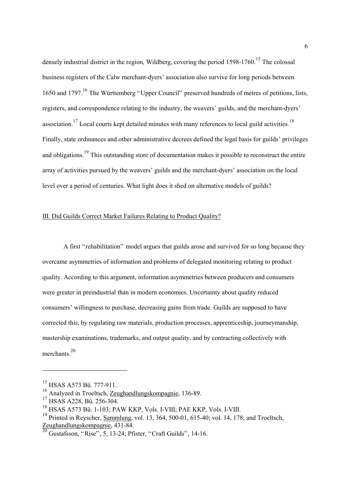densely industrial district in the region. Wildberg, covering the period  $1598-1760$ <sup>15</sup>. The colossal business registers of the Calw merchant-dyers' association also survive for long periods between 1650 and 1797.<sup>16</sup> The Württemberg "Upper Council" preserved hundreds of metres of petitions, lists, registers, and correspondence relating to the industry, the weavers' guilds, and the merchant-dyers' association.<sup>17</sup> Local courts kept detailed minutes with many references to local guild activities.<sup>[18](#page-7-3)</sup> Finally, state ordinances and other administrative decrees defined the legal basis for guilds' privileges and obligations.<sup>19</sup> This outstanding store of documentation makes it possible to reconstruct the entire array of activities pursued by the weavers' guilds and the merchant-dyers' association on the local level over a period of centuries. What light does it shed on alternative models of guilds?

#### III. Did Guilds Correct Market Failures Relating to Product Quality?

A first "rehabilitation" model argues that guilds arose and survived for so long because they overcame asymmetries of information and problems of delegated monitoring relating to product quality. According to this argument, information asymmetries between producers and consumers were greater in preindustrial than in modern economies. Uncertainty about quality reduced consumers' willingness to purchase, decreasing gains from trade. Guilds are supposed to have corrected this, by regulating raw materials, production processes, apprenticeship, journeymanship, mastership examinations, trademarks, and output quality, and by contracting collectively with merchants<sup>20</sup>

<span id="page-7-0"></span><sup>&</sup>lt;sup>15</sup> HSAS A573 Bü. 777-911.

<span id="page-7-1"></span><sup>16</sup> Analyzed in Troeltsch, Zeughandlungskompagnie, 136-89.

<span id="page-7-2"></span><sup>&</sup>lt;sup>17</sup> HSAS A228, Bü. 256-304.

<span id="page-7-3"></span><sup>18</sup> HSAS A573 Bü. 1-103; PAW KKP, Vols. I-VIII; PAE KKP, Vols. I-VIII.

<span id="page-7-4"></span><sup>&</sup>lt;sup>19</sup> Printed in Reyscher, Sammlung, vol. 13, 364, 500-01, 615-40; vol. 14, 178; and Troeltsch, Zeughandlungskompagnie, 431-84.

<span id="page-7-5"></span> $^{20}$  Gustafsson, "Rise", 5, 13-24; Pfister, "Craft Guilds", 14-16.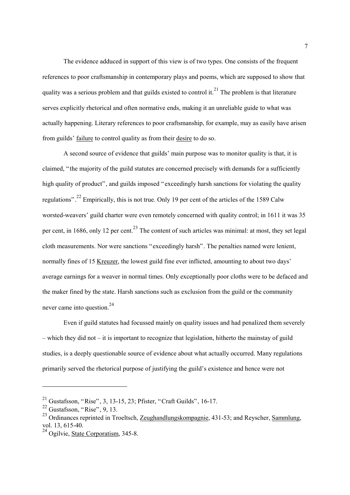The evidence adduced in support of this view is of two types. One consists of the frequent references to poor craftsmanship in contemporary plays and poems, which are supposed to show that quality was a serious problem and that guilds existed to control it.<sup>21</sup> The problem is that literature serves explicitly rhetorical and often normative ends, making it an unreliable guide to what was actually happening. Literary references to poor craftsmanship, for example, may as easily have arisen from guilds' failure to control quality as from their desire to do so.

A second source of evidence that guilds' main purpose was to monitor quality is that, it is claimed, "the majority of the guild statutes are concerned precisely with demands for a sufficiently high quality of product", and guilds imposed "exceedingly harsh sanctions for violating the quality regulations"[.22 E](#page-8-1)mpirically, this is not true. Only 19 per cent of the articles of the 1589 Calw worsted-weavers' guild charter were even remotely concerned with quality control; in 1611 it was 35 per cent, in 1686, only 12 per cent.<sup>23</sup> The content of such articles was minimal: at most, they set legal cloth measurements. Nor were sanctions "exceedingly harsh". The penalties named were lenient, normally fines of 15 Kreuzer, the lowest guild fine ever inflicted, amounting to about two days' average earnings for a weaver in normal times. Only exceptionally poor cloths were to be defaced and the maker fined by the state. Harsh sanctions such as exclusion from the guild or the community never came into question  $24$ 

Even if guild statutes had focussed mainly on quality issues and had penalized them severely – which they did not – it is important to recognize that legislation, hitherto the mainstay of guild studies, is a deeply questionable source of evidence about what actually occurred. Many regulations primarily served the rhetorical purpose of justifying the guild's existence and hence were not

<span id="page-8-0"></span><sup>21</sup> Gustafsson, "Rise", 3, 13-15, 23; Pfister, "Craft Guilds", 16-17.

<span id="page-8-1"></span> $22$  Gustafsson, "Rise", 9, 13.

<span id="page-8-2"></span><sup>&</sup>lt;sup>23</sup> Ordinances reprinted in Troeltsch, Zeughandlungskompagnie, 431-53; and Reyscher, Sammlung, vol. 13, 615-40.

<span id="page-8-3"></span><sup>&</sup>lt;sup>24</sup> Ogilvie, State Corporatism, 345-8.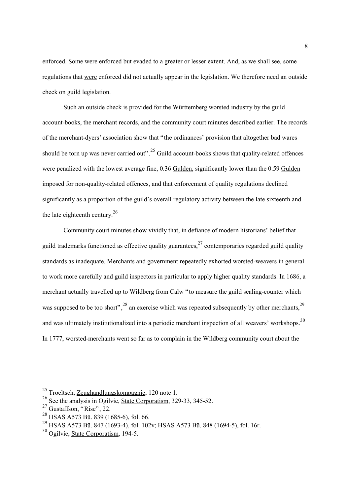enforced. Some were enforced but evaded to a greater or lesser extent. And, as we shall see, some regulations that were enforced did not actually appear in the legislation. We therefore need an outside check on guild legislation.

Such an outside check is provided for the Württemberg worsted industry by the guild account-books, the merchant records, and the community court minutes described earlier. The records of the merchant-dyers' association show that "the ordinances' provision that altogether bad wares should be torn up was never carried out".<sup>25</sup> Guild account-books shows that quality-related offences were penalized with the lowest average fine, 0.36 Gulden, significantly lower than the 0.59 Gulden imposed for non-quality-related offences, and that enforcement of quality regulations declined significantly as a proportion of the guild's overall regulatory activity between the late sixteenth and the late eighteenth century. $^{26}$  $^{26}$  $^{26}$ 

Community court minutes show vividly that, in defiance of modern historians' belief that guild trademarks functioned as effective quality guarantees,  $27$  contemporaries regarded guild quality standards as inadequate. Merchants and government repeatedly exhorted worsted-weavers in general to work more carefully and guild inspectors in particular to apply higher quality standards. In 1686, a merchant actually travelled up to Wildberg from Calw "to measure the guild sealing-counter which was supposed to be too short",  $^{28}$  an exercise which was repeated subsequently by other merchants.<sup>[29](#page-9-4)</sup> and was ultimately institutionalized into a periodic merchant inspection of all weavers' workshops.<sup>[30](#page-9-5)</sup> In 1777, worsted-merchants went so far as to complain in the Wildberg community court about the

<span id="page-9-0"></span><sup>25</sup> Troeltsch, Zeughandlungskompagnie, 120 note 1.

<span id="page-9-1"></span> $26$  See the analysis in Ogilvie, State Corporatism, 329-33, 345-52.

<span id="page-9-2"></span> $27$  Gustaffson, "Rise", 22.

<span id="page-9-3"></span><sup>28</sup> HSAS A573 Bü. 839 (1685-6), fol. 66.

<span id="page-9-4"></span><sup>29</sup> HSAS A573 Bü. 847 (1693-4), fol. 102v; HSAS A573 Bü. 848 (1694-5), fol. 16r.

<span id="page-9-5"></span> $30$  Ogilvie, State Corporatism, 194-5.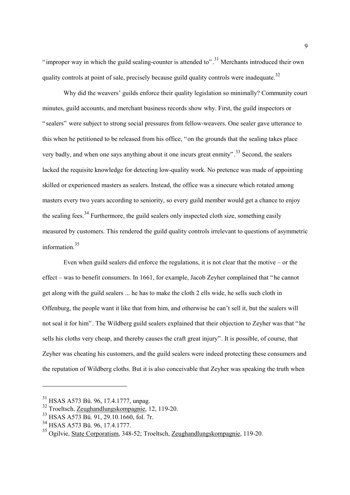"improper way in which the guild sealing-counter is attended to".<sup>31</sup> Merchants introduced their own quality controls at point of sale, precisely because guild quality controls were inadequate.<sup>[32](#page-10-1)</sup>

Why did the weavers' guilds enforce their quality legislation so minimally? Community court minutes, guild accounts, and merchant business records show why. First, the guild inspectors or "sealers" were subject to strong social pressures from fellow-weavers. One sealer gave utterance to this when he petitioned to be released from his office, "on the grounds that the sealing takes place very badly, and when one says anything about it one incurs great enmity".<sup>33</sup> Second, the sealers lacked the requisite knowledge for detecting low-quality work. No pretence was made of appointing skilled or experienced masters as sealers. Instead, the office was a sinecure which rotated among masters every two years according to seniority, so every guild member would get a chance to enjoy the sealing fees.<sup>34</sup> Furthermore, the guild sealers only inspected cloth size, something easily measured by customers. This rendered the guild quality controls irrelevant to questions of asymmetric information<sup>[35](#page-10-4)</sup>

Even when guild sealers did enforce the regulations, it is not clear that the motive – or the effect – was to benefit consumers. In 1661, for example, Jacob Zeyher complained that "he cannot get along with the guild sealers ... he has to make the cloth 2 ells wide, he sells such cloth in Offenburg, the people want it like that from him, and otherwise he can't sell it, but the sealers will not seal it for him". The Wildberg guild sealers explained that their objection to Zeyher was that "he sells his cloths very cheap, and thereby causes the craft great injury". It is possible, of course, that Zeyher was cheating his customers, and the guild sealers were indeed protecting these consumers and the reputation of Wildberg cloths. But it is also conceivable that Zeyher was speaking the truth when

<span id="page-10-0"></span><sup>31</sup> HSAS A573 Bü. 96, 17.4.1777, unpag.

<span id="page-10-1"></span><sup>32</sup> Troeltsch, Zeughandlungskompagnie, 12, 119-20.

<span id="page-10-2"></span><sup>33</sup> HSAS A573 Bü. 91, 29.10.1660, fol. 7r.

<span id="page-10-3"></span><sup>34</sup> HSAS A573 Bü. 96, 17.4.1777.

<span id="page-10-4"></span><sup>35</sup> Ogilvie, State Corporatism, 348-52; Troeltsch, Zeughandlungskompagnie, 119-20.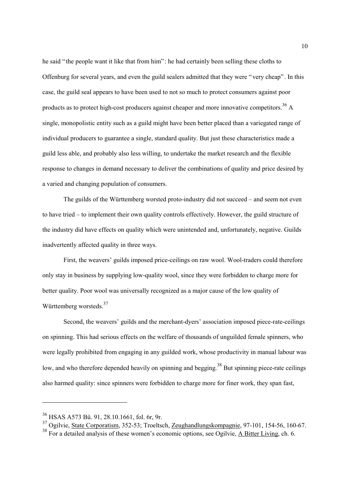he said "the people want it like that from him": he had certainly been selling these cloths to Offenburg for several years, and even the guild sealers admitted that they were "very cheap". In this case, the guild seal appears to have been used to not so much to protect consumers against poor products as to protect high-cost producers against cheaper and more innovative competitors  $36$  A single, monopolistic entity such as a guild might have been better placed than a variegated range of individual producers to guarantee a single, standard quality. But just these characteristics made a guild less able, and probably also less willing, to undertake the market research and the flexible response to changes in demand necessary to deliver the combinations of quality and price desired by a varied and changing population of consumers.

The guilds of the Württemberg worsted proto-industry did not succeed – and seem not even to have tried – to implement their own quality controls effectively. However, the guild structure of the industry did have effects on quality which were unintended and, unfortunately, negative. Guilds inadvertently affected quality in three ways.

First, the weavers' guilds imposed price-ceilings on raw wool. Wool-traders could therefore only stay in business by supplying low-quality wool, since they were forbidden to charge more for better quality. Poor wool was universally recognized as a major cause of the low quality of Württemberg worsteds.<sup>[37](#page-11-1)</sup>

Second, the weavers' guilds and the merchant-dyers' association imposed piece-rate-ceilings on spinning. This had serious effects on the welfare of thousands of unguilded female spinners, who were legally prohibited from engaging in any guilded work, whose productivity in manual labour was low, and who therefore depended heavily on spinning and begging.<sup>38</sup> But spinning piece-rate ceilings also harmed quality: since spinners were forbidden to charge more for finer work, they span fast,

<span id="page-11-0"></span><sup>36</sup> HSAS A573 Bü. 91, 28.10.1661, fol. 6r, 9r.

<span id="page-11-1"></span><sup>37</sup> Ogilvie, State Corporatism, 352-53; Troeltsch, Zeughandlungskompagnie, 97-101, 154-56, 160-67.

<span id="page-11-2"></span><sup>&</sup>lt;sup>38</sup> For a detailed analysis of these women's economic options, see Ogilvie, A Bitter Living, ch. 6.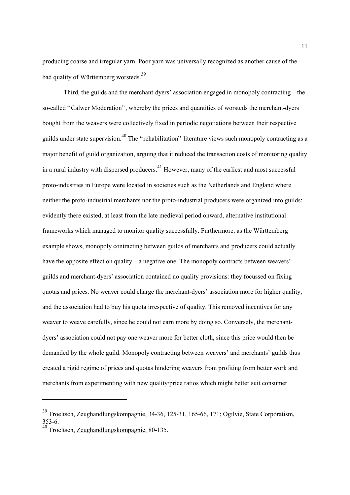producing coarse and irregular yarn. Poor yarn was universally recognized as another cause of the bad quality of Württemberg worsteds.[39](#page-12-0)

Third, the guilds and the merchant-dyers' association engaged in monopoly contracting – the so-called "Calwer Moderation", whereby the prices and quantities of worsteds the merchant-dyers bought from the weavers were collectively fixed in periodic negotiations between their respective guilds under state supervision.[40 T](#page-12-1)he "rehabilitation" literature views such monopoly contracting as a major benefit of guild organization, arguing that it reduced the transaction costs of monitoring quality in a rural industry with dispersed producers.<sup>41</sup> However, many of the earliest and most successful proto-industries in Europe were located in societies such as the Netherlands and England where neither the proto-industrial merchants nor the proto-industrial producers were organized into guilds: evidently there existed, at least from the late medieval period onward, alternative institutional frameworks which managed to monitor quality successfully. Furthermore, as the Württemberg example shows, monopoly contracting between guilds of merchants and producers could actually have the opposite effect on quality – a negative one. The monopoly contracts between weavers' guilds and merchant-dyers' association contained no quality provisions: they focussed on fixing quotas and prices. No weaver could charge the merchant-dyers' association more for higher quality, and the association had to buy his quota irrespective of quality. This removed incentives for any weaver to weave carefully, since he could not earn more by doing so. Conversely, the merchantdyers' association could not pay one weaver more for better cloth, since this price would then be demanded by the whole guild. Monopoly contracting between weavers' and merchants' guilds thus created a rigid regime of prices and quotas hindering weavers from profiting from better work and merchants from experimenting with new quality/price ratios which might better suit consumer

<span id="page-12-2"></span><span id="page-12-0"></span><sup>39</sup> Troeltsch, Zeughandlungskompagnie, 34-36, 125-31, 165-66, 171; Ogilvie, State Corporatism, 353-6.

<span id="page-12-1"></span><sup>40</sup> Troeltsch, Zeughandlungskompagnie, 80-135.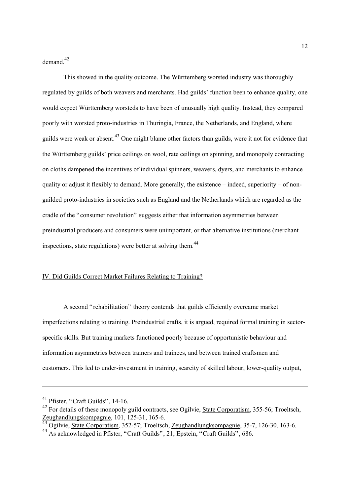demand<sup>[42](#page-13-0)</sup>

This showed in the quality outcome. The Württemberg worsted industry was thoroughly regulated by guilds of both weavers and merchants. Had guilds' function been to enhance quality, one would expect Württemberg worsteds to have been of unusually high quality. Instead, they compared poorly with worsted proto-industries in Thuringia, France, the Netherlands, and England, where guilds were weak or absent.<sup>43</sup> One might blame other factors than guilds, were it not for evidence that the Württemberg guilds' price ceilings on wool, rate ceilings on spinning, and monopoly contracting on cloths dampened the incentives of individual spinners, weavers, dyers, and merchants to enhance quality or adjust it flexibly to demand. More generally, the existence – indeed, superiority – of nonguilded proto-industries in societies such as England and the Netherlands which are regarded as the cradle of the "consumer revolution" suggests either that information asymmetries between preindustrial producers and consumers were unimportant, or that alternative institutions (merchant inspections, state regulations) were better at solving them.<sup>[44](#page-13-2)</sup>

#### IV. Did Guilds Correct Market Failures Relating to Training?

A second "rehabilitation" theory contends that guilds efficiently overcame market imperfections relating to training. Preindustrial crafts, it is argued, required formal training in sectorspecific skills. But training markets functioned poorly because of opportunistic behaviour and information asymmetries between trainers and trainees, and between trained craftsmen and customers. This led to under-investment in training, scarcity of skilled labour, lower-quality output,

 $41$  Pfister, "Craft Guilds", 14-16.

<span id="page-13-0"></span><sup>&</sup>lt;sup>42</sup> For details of these monopoly guild contracts, see Ogilvie, State Corporatism, 355-56; Troeltsch,  $\frac{\text{Zeughandlungskompagnie}}{43 \text{ C}}$ , 101, 125-31, 165-6.

<span id="page-13-1"></span>Ogilvie, State Corporatism, 352-57; Troeltsch, Zeughandlungksompagnie, 35-7, 126-30, 163-6.

<span id="page-13-2"></span><sup>44</sup> As acknowledged in Pfister, "Craft Guilds", 21; Epstein, "Craft Guilds", 686.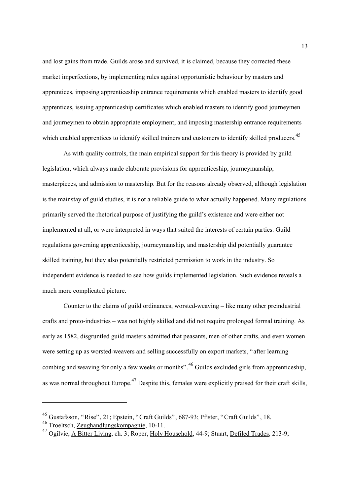<span id="page-14-2"></span>and lost gains from trade. Guilds arose and survived, it is claimed, because they corrected these market imperfections, by implementing rules against opportunistic behaviour by masters and apprentices, imposing apprenticeship entrance requirements which enabled masters to identify good apprentices, issuing apprenticeship certificates which enabled masters to identify good journeymen and journeymen to obtain appropriate employment, and imposing mastership entrance requirements which enabled apprentices to identify skilled trainers and customers to identify skilled producers.<sup>[45](#page-14-0)</sup>

As with quality controls, the main empirical support for this theory is provided by guild legislation, which always made elaborate provisions for apprenticeship, journeymanship, masterpieces, and admission to mastership. But for the reasons already observed, although legislation is the mainstay of guild studies, it is not a reliable guide to what actually happened. Many regulations primarily served the rhetorical purpose of justifying the guild's existence and were either not implemented at all, or were interpreted in ways that suited the interests of certain parties. Guild regulations governing apprenticeship, journeymanship, and mastership did potentially guarantee skilled training, but they also potentially restricted permission to work in the industry. So independent evidence is needed to see how guilds implemented legislation. Such evidence reveals a much more complicated picture.

Counter to the claims of guild ordinances, worsted-weaving – like many other preindustrial crafts and proto-industries – was not highly skilled and did not require prolonged formal training. As early as 1582, disgruntled guild masters admitted that peasants, men of other crafts, and even women were setting up as worsted-weavers and selling successfully on export markets, "after learning combing and weaving for only a few weeks or months".[46](#page-14-1) Guilds excluded girls from apprenticeship, as was normal throughout Europe.<sup>47</sup> Despite this, females were explicitly praised for their craft skills,

<span id="page-14-0"></span><sup>45</sup> Gustafsson, "Rise", 21; Epstein, "Craft Guilds", 687-93; Pfister, "Craft Guilds", 18.

<span id="page-14-1"></span><sup>46</sup> Troeltsch, Zeughandlungskompagnie, 10-11.

<sup>47</sup> Ogilvie, A Bitter Living, ch. 3; Roper, Holy Household, 44-9; Stuart, Defiled Trades, 213-9;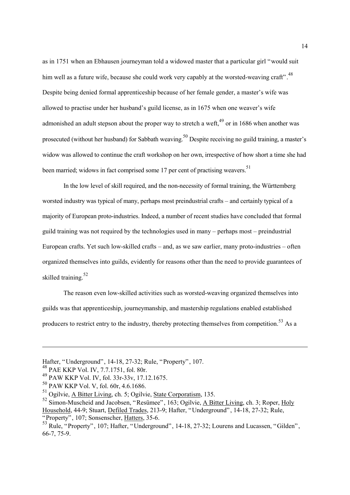as in 1751 when an Ebhausen journeyman told a widowed master that a particular girl "would suit him well as a future wife, because she could work very capably at the worsted-weaving craft".<sup>[48](#page-15-0)</sup> Despite being denied formal apprenticeship because of her female gender, a master's wife was allowed to practise under her husband's guild license, as in 1675 when one weaver's wife admonished an adult stepson about the proper way to stretch a weft,  $^{49}$  or in 1686 when another was prosecuted (without her husband) for Sabbath weaving[.50 D](#page-15-2)espite receiving no guild training, a master's widow was allowed to continue the craft workshop on her own, irrespective of how short a time she had been married; widows in fact comprised some 17 per cent of practising weavers.<sup>[51](#page-15-3)</sup>

In the low level of skill required, and the non-necessity of formal training, the Württemberg worsted industry was typical of many, perhaps most preindustrial crafts – and certainly typical of a majority of European proto-industries. Indeed, a number of recent studies have concluded that formal guild training was not required by the technologies used in many – perhaps most – preindustrial European crafts. Yet such low-skilled crafts – and, as we saw earlier, many proto-industries – often organized themselves into guilds, evidently for reasons other than the need to provide guarantees of skilled training  $52$ 

The reason even low-skilled activities such as worsted-weaving organized themselves into guilds was that apprenticeship, journeymanship, and mastership regulations enabled established producers to restrict entry to the industry, thereby protecting themselves from competition.<sup>53</sup> As a

Hafter, "Underground", 14-18, 27-32; Rule, "Property", 107. <sup>48</sup> PAE KKP Vol. IV, 7.7.1751, fol. 80r.

<span id="page-15-0"></span>

<span id="page-15-1"></span><sup>49</sup> PAW KKP Vol. IV, fol. 33r-33v, 17.12.1675.

<span id="page-15-2"></span><sup>50</sup> PAW KKP Vol. V, fol. 60r, 4.6.1686.

<span id="page-15-3"></span><sup>51</sup> Ogilvie, A Bitter Living, ch. 5; Ogilvie, State Corporatism, 135.

<span id="page-15-4"></span><sup>52</sup> Simon-Muscheid and Jacobsen, "Resümee", 163; Ogilvie, A Bitter Living, ch. 3; Roper, Holy Household, 44-9; Stuart, Defiled Trades, 213-9; Hafter, "Underground", 14-18, 27-32; Rule, "Property", 107; Sonsenscher, Hatters, 35-6.

<span id="page-15-5"></span><sup>&</sup>lt;sup>53</sup> Rule, "Property", 107; Hafter, "Underground", 14-18, 27-32; Lourens and Lucassen, "Gilden", 66-7, 75-9.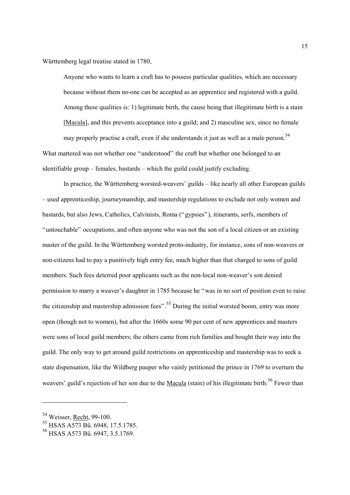Württemberg legal treatise stated in 1780,

Anyone who wants to learn a craft has to possess particular qualities, which are necessary because without them no-one can be accepted as an apprentice and registered with a guild. Among these qualities is: 1) legitimate birth, the cause being that illegitimate birth is a stain [Macula], and this prevents acceptance into a guild; and 2) masculine sex, since no female may properly practise a craft, even if she understands it just as well as a male person.<sup>[54](#page-16-0)</sup> What mattered was not whether one "understood" the craft but whether one belonged to an identifiable group – females, bastards – which the guild could justify excluding.

In practice, the Württemberg worsted-weavers' guilds – like nearly all other European guilds – used apprenticeship, journeymanship, and mastership regulations to exclude not only women and bastards, but also Jews, Catholics, Calvinists, Roma ("gypsies"), itinerants, serfs, members of "untouchable" occupations, and often anyone who was not the son of a local citizen or an existing master of the guild. In the Württemberg worsted proto-industry, for instance, sons of non-weavers or non-citizens had to pay a punitively high entry fee, much higher than that charged to sons of guild members. Such fees deterred poor applicants such as the non-local non-weaver's son denied permission to marry a weaver's daughter in 1785 because he "was in no sort of position even to raise the citizenship and mastership admission fees".<sup>55</sup> During the initial worsted boom, entry was more open (though not to women), but after the 1660s some 90 per cent of new apprentices and masters were sons of local guild members; the others came from rich families and bought their way into the guild. The only way to get around guild restrictions on apprenticeship and mastership was to seek a state dispensation, like the Wildberg pauper who vainly petitioned the prince in 1769 to overturn the weavers' guild's rejection of her son due to the Macula (stain) of his illegitimate birth.<sup>56</sup> Fewer than

<span id="page-16-0"></span><sup>&</sup>lt;sup>54</sup> Weisser, <u>Recht</u>, 99-100.

<span id="page-16-1"></span><sup>55</sup> HSAS A573 Bü. 6948, 17.5.1785.

<span id="page-16-2"></span><sup>&</sup>lt;sup>56</sup> HSAS A573 Bü. 6947, 3.5.1769.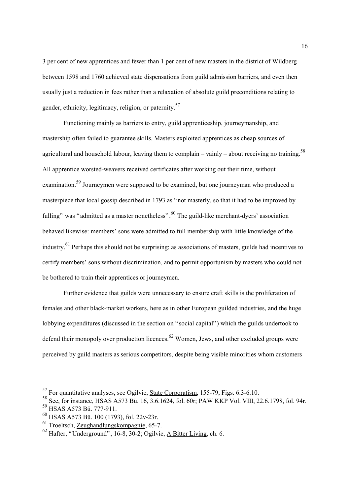3 per cent of new apprentices and fewer than 1 per cent of new masters in the district of Wildberg between 1598 and 1760 achieved state dispensations from guild admission barriers, and even then usually just a reduction in fees rather than a relaxation of absolute guild preconditions relating to gender, ethnicity, legitimacy, religion, or paternity.<sup>[57](#page-17-0)</sup>

Functioning mainly as barriers to entry, guild apprenticeship, journeymanship, and mastership often failed to guarantee skills. Masters exploited apprentices as cheap sources of agricultural and household labour, leaving them to complain – vainly – about receiving no training.<sup>[58](#page-17-1)</sup> All apprentice worsted-weavers received certificates after working out their time, without examination.<sup>59</sup> Journeymen were supposed to be examined, but one journeyman who produced a masterpiece that local gossip described in 1793 as "not masterly, so that it had to be improved by fulling" was "admitted as a master nonetheless".<sup>60</sup> The guild-like merchant-dyers' association behaved likewise: members' sons were admitted to full membership with little knowledge of the industry.[61 P](#page-17-4)erhaps this should not be surprising: as associations of masters, guilds had incentives to certify members' sons without discrimination, and to permit opportunism by masters who could not be bothered to train their apprentices or journeymen.

Further evidence that guilds were unnecessary to ensure craft skills is the proliferation of females and other black-market workers, here as in other European guilded industries, and the huge lobbying expenditures (discussed in the section on "social capital") which the guilds undertook to defend their monopoly over production licences.<sup> $62$ </sup> Women, Jews, and other excluded groups were perceived by guild masters as serious competitors, despite being visible minorities whom customers

<span id="page-17-0"></span><sup>57</sup> For quantitative analyses, see Ogilvie, State Corporatism, 155-79, Figs. 6.3-6.10.

<span id="page-17-1"></span><sup>&</sup>lt;sup>58</sup> See, for instance, HSAS A573 Bü. 16, 3.6.1624, fol. 60r; PAW KKP Vol. VIII, 22.6.1798, fol. 94r.

<span id="page-17-2"></span><sup>59</sup> HSAS A573 Bü. 777-911.

<span id="page-17-3"></span><sup>60</sup> HSAS A573 Bü. 100 (1793), fol. 22v-23r.

<span id="page-17-4"></span><sup>61</sup> Troeltsch, Zeughandlungskompagnie, 65-7.

<span id="page-17-5"></span> $62$  Hafter, "Underground", 16-8, 30-2; Ogilvie, A Bitter Living, ch. 6.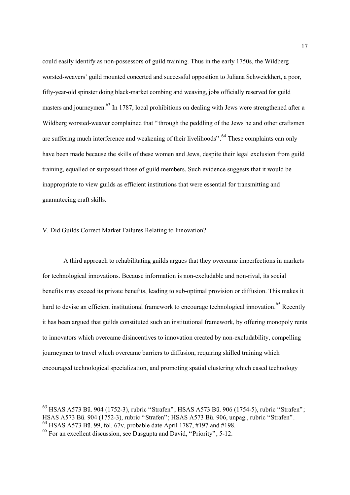could easily identify as non-possessors of guild training. Thus in the early 1750s, the Wildberg worsted-weavers' guild mounted concerted and successful opposition to Juliana Schweickhert, a poor, fifty-year-old spinster doing black-market combing and weaving, jobs officially reserved for guild masters and journeymen.<sup>63</sup> In 1787, local prohibitions on dealing with Jews were strengthened after a Wildberg worsted-weaver complained that "through the peddling of the Jews he and other craftsmen are suffering much interference and weakening of their livelihoods".<sup>64</sup> These complaints can only have been made because the skills of these women and Jews, despite their legal exclusion from guild training, equalled or surpassed those of guild members. Such evidence suggests that it would be inappropriate to view guilds as efficient institutions that were essential for transmitting and guaranteeing craft skills.

#### V. Did Guilds Correct Market Failures Relating to Innovation?

A third approach to rehabilitating guilds argues that they overcame imperfections in markets for technological innovations. Because information is non-excludable and non-rival, its social benefits may exceed its private benefits, leading to sub-optimal provision or diffusion. This makes it hard to devise an efficient institutional framework to encourage technological innovation.<sup>65</sup> Recently it has been argued that guilds constituted such an institutional framework, by offering monopoly rents to innovators which overcame disincentives to innovation created by non-excludability, compelling journeymen to travel which overcame barriers to diffusion, requiring skilled training which encouraged technological specialization, and promoting spatial clustering which eased technology

<span id="page-18-0"></span><sup>63</sup> HSAS A573 Bü. 904 (1752-3), rubric "Strafen"; HSAS A573 Bü. 906 (1754-5), rubric "Strafen"; HSAS A573 Bü. 904 (1752-3), rubric "Strafen"; HSAS A573 Bü. 906, unpag., rubric "Strafen". <sup>64</sup> HSAS A573 Bü. 99, fol. 67v, probable date April 1787, #197 and #198.

<span id="page-18-1"></span>

<span id="page-18-2"></span> $^{65}$  For an excellent discussion, see Dasgupta and David, "Priority", 5-12.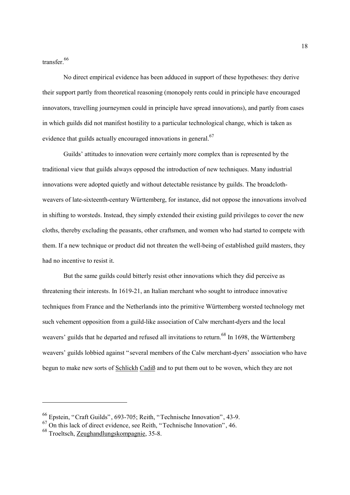transfer<sup>[66](#page-19-0)</sup>

No direct empirical evidence has been adduced in support of these hypotheses: they derive their support partly from theoretical reasoning (monopoly rents could in principle have encouraged innovators, travelling journeymen could in principle have spread innovations), and partly from cases in which guilds did not manifest hostility to a particular technological change, which is taken as evidence that guilds actually encouraged innovations in general.<sup>[67](#page-19-1)</sup>

Guilds' attitudes to innovation were certainly more complex than is represented by the traditional view that guilds always opposed the introduction of new techniques. Many industrial innovations were adopted quietly and without detectable resistance by guilds. The broadclothweavers of late-sixteenth-century Württemberg, for instance, did not oppose the innovations involved in shifting to worsteds. Instead, they simply extended their existing guild privileges to cover the new cloths, thereby excluding the peasants, other craftsmen, and women who had started to compete with them. If a new technique or product did not threaten the well-being of established guild masters, they had no incentive to resist it.

But the same guilds could bitterly resist other innovations which they did perceive as threatening their interests. In 1619-21, an Italian merchant who sought to introduce innovative techniques from France and the Netherlands into the primitive Württemberg worsted technology met such vehement opposition from a guild-like association of Calw merchant-dyers and the local weavers' guilds that he departed and refused all invitations to return.<sup>68</sup> In 1698, the Württemberg weavers' guilds lobbied against "several members of the Calw merchant-dyers' association who have begun to make new sorts of Schlickh Cadiß and to put them out to be woven, which they are not

<span id="page-19-0"></span><sup>66</sup> Epstein, "Craft Guilds", 693-705; Reith, "Technische Innovation", 43-9.

<span id="page-19-1"></span><sup>67</sup> On this lack of direct evidence, see Reith, "Technische Innovation", 46.

<span id="page-19-2"></span><sup>68</sup> Troeltsch, Zeughandlungskompagnie, 35-8.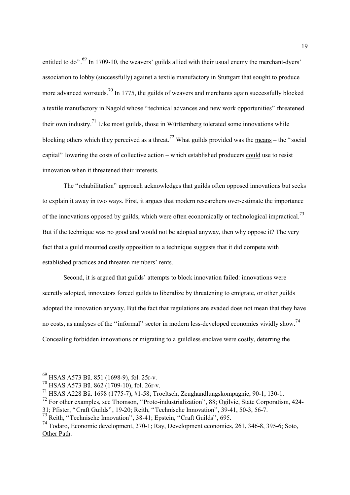entitled to do".  $^{69}$  In 1709-10, the weavers' guilds allied with their usual enemy the merchant-dyers' association to lobby (successfully) against a textile manufactory in Stuttgart that sought to produce more advanced worsteds.<sup>70</sup> In 1775, the guilds of weavers and merchants again successfully blocked a textile manufactory in Nagold whose "technical advances and new work opportunities" threatened their own industry.<sup>71</sup> Like most guilds, those in Württemberg tolerated some innovations while blocking others which they perceived as a threat.<sup>72</sup> What guilds provided was the means – the "social" capital" lowering the costs of collective action – which established producers could use to resist innovation when it threatened their interests.

The "rehabilitation" approach acknowledges that guilds often opposed innovations but seeks to explain it away in two ways. First, it argues that modern researchers over-estimate the importance of the innovations opposed by guilds, which were often economically or technological impractical.<sup>73</sup> But if the technique was no good and would not be adopted anyway, then why oppose it? The very fact that a guild mounted costly opposition to a technique suggests that it did compete with established practices and threaten members' rents.

Second, it is argued that guilds' attempts to block innovation failed: innovations were secretly adopted, innovators forced guilds to liberalize by threatening to emigrate, or other guilds adopted the innovation anyway. But the fact that regulations are evaded does not mean that they have no costs, as analyses of the "informal" sector in modern less-developed economies vividly show.<sup>[74](#page-20-5)</sup> Concealing forbidden innovations or migrating to a guildless enclave were costly, deterring the

<span id="page-20-0"></span><sup>69</sup> HSAS A573 Bü. 851 (1698-9), fol. 25r-v.

<span id="page-20-1"></span><sup>70</sup> HSAS A573 Bü. 862 (1709-10), fol. 26r-v.

<span id="page-20-2"></span><sup>71</sup> HSAS A228 Bü. 1698 (1775-7), #1-58; Troeltsch, Zeughandlungskompagnie, 90-1, 130-1.

<span id="page-20-3"></span> $^{72}$  For other examples, see Thomson, "Proto-industrialization", 88; Ogilvie, State Corporatism, 424-

<sup>31;</sup> Pfister, "Craft Guilds", 19-20; Reith, "Technische Innovation", 39-41, 50-3, 56-7.

<span id="page-20-4"></span><sup>73</sup> Reith, "Technische Innovation", 38-41; Epstein, "Craft Guilds", 695.

<span id="page-20-5"></span><sup>74</sup> Todaro, Economic development, 270-1; Ray, Development economics, 261, 346-8, 395-6; Soto, Other Path.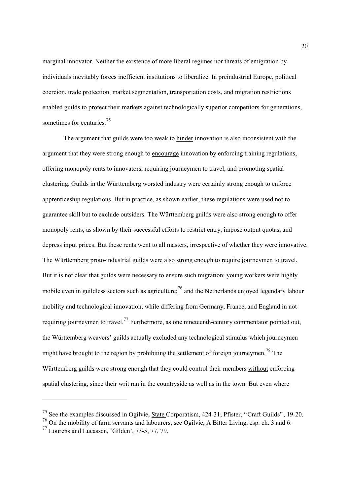marginal innovator. Neither the existence of more liberal regimes nor threats of emigration by individuals inevitably forces inefficient institutions to liberalize. In preindustrial Europe, political coercion, trade protection, market segmentation, transportation costs, and migration restrictions enabled guilds to protect their markets against technologically superior competitors for generations, sometimes for centuries.<sup>75</sup>

The argument that guilds were too weak to hinder innovation is also inconsistent with the argument that they were strong enough to encourage innovation by enforcing training regulations, offering monopoly rents to innovators, requiring journeymen to travel, and promoting spatial clustering. Guilds in the Württemberg worsted industry were certainly strong enough to enforce apprenticeship regulations. But in practice, as shown earlier, these regulations were used not to guarantee skill but to exclude outsiders. The Württemberg guilds were also strong enough to offer monopoly rents, as shown by their successful efforts to restrict entry, impose output quotas, and depress input prices. But these rents went to all masters, irrespective of whether they were innovative. The Württemberg proto-industrial guilds were also strong enough to require journeymen to travel. But it is not clear that guilds were necessary to ensure such migration: young workers were highly mobile even in guildless sectors such as agriculture;<sup>76</sup> and the Netherlands enjoyed legendary labour mobility and technological innovation, while differing from Germany, France, and England in not requiring journeymen to travel.<sup>77</sup> Furthermore, as one nineteenth-century commentator pointed out, the Württemberg weavers' guilds actually excluded any technological stimulus which journeymen might have brought to the region by prohibiting the settlement of foreign journeymen.<sup>78</sup> The Württemberg guilds were strong enough that they could control their members without enforcing spatial clustering, since their writ ran in the countryside as well as in the town. But even where

<span id="page-21-3"></span><span id="page-21-0"></span><sup>75</sup> See the examples discussed in Ogilvie, State Corporatism, 424-31; Pfister, "Craft Guilds", 19-20.

<span id="page-21-1"></span><sup>76</sup> On the mobility of farm servants and labourers, see Ogilvie, A Bitter Living, esp. ch. 3 and 6.

<span id="page-21-2"></span> $^{77}$  Lourens and Lucassen, 'Gilden', 73-5, 77, 79.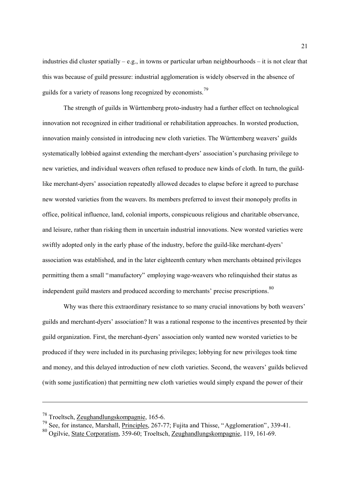industries did cluster spatially – e.g., in towns or particular urban neighbourhoods – it is not clear that this was because of guild pressure: industrial agglomeration is widely observed in the absence of guilds for a variety of reasons long recognized by economists.<sup>[79](#page-22-0)</sup>

The strength of guilds in Württemberg proto-industry had a further effect on technological innovation not recognized in either traditional or rehabilitation approaches. In worsted production, innovation mainly consisted in introducing new cloth varieties. The Württemberg weavers' guilds systematically lobbied against extending the merchant-dyers' association's purchasing privilege to new varieties, and individual weavers often refused to produce new kinds of cloth. In turn, the guildlike merchant-dyers' association repeatedly allowed decades to elapse before it agreed to purchase new worsted varieties from the weavers. Its members preferred to invest their monopoly profits in office, political influence, land, colonial imports, conspicuous religious and charitable observance, and leisure, rather than risking them in uncertain industrial innovations. New worsted varieties were swiftly adopted only in the early phase of the industry, before the guild-like merchant-dyers' association was established, and in the later eighteenth century when merchants obtained privileges permitting them a small "manufactory" employing wage-weavers who relinquished their status as independent guild masters and produced according to merchants' precise prescriptions.<sup>[80](#page-22-1)</sup>

Why was there this extraordinary resistance to so many crucial innovations by both weavers' guilds and merchant-dyers' association? It was a rational response to the incentives presented by their guild organization. First, the merchant-dyers' association only wanted new worsted varieties to be produced if they were included in its purchasing privileges; lobbying for new privileges took time and money, and this delayed introduction of new cloth varieties. Second, the weavers' guilds believed (with some justification) that permitting new cloth varieties would simply expand the power of their

<sup>78</sup> Troeltsch, Zeughandlungskompagnie, 165-6.

<span id="page-22-0"></span><sup>79</sup> See, for instance, Marshall, Principles, 267-77; Fujita and Thisse, "Agglomeration", 339-41.

<span id="page-22-1"></span><sup>80</sup> Ogilvie, State Corporatism, 359-60; Troeltsch, Zeughandlungskompagnie, 119, 161-69.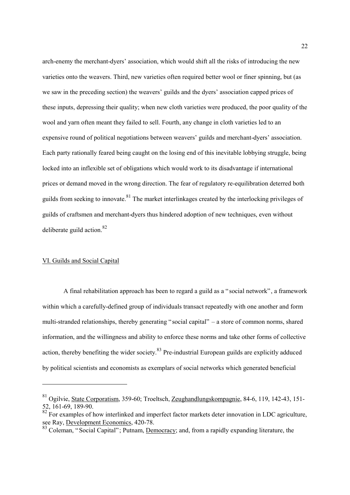<span id="page-23-2"></span>arch-enemy the merchant-dyers' association, which would shift all the risks of introducing the new varieties onto the weavers. Third, new varieties often required better wool or finer spinning, but (as we saw in the preceding section) the weavers' guilds and the dyers' association capped prices of these inputs, depressing their quality; when new cloth varieties were produced, the poor quality of the wool and yarn often meant they failed to sell. Fourth, any change in cloth varieties led to an expensive round of political negotiations between weavers' guilds and merchant-dyers' association. Each party rationally feared being caught on the losing end of this inevitable lobbying struggle, being locked into an inflexible set of obligations which would work to its disadvantage if international prices or demand moved in the wrong direction. The fear of regulatory re-equilibration deterred both guilds from seeking to innovate.<sup>81</sup> The market interlinkages created by the interlocking privileges of guilds of craftsmen and merchant-dyers thus hindered adoption of new techniques, even without deliberate guild action. $82$ 

#### VI. Guilds and Social Capital

l

A final rehabilitation approach has been to regard a guild as a "social network", a framework within which a carefully-defined group of individuals transact repeatedly with one another and form multi-stranded relationships, thereby generating "social capital" – a store of common norms, shared information, and the willingness and ability to enforce these norms and take other forms of collective action, thereby benefiting the wider society.<sup>83</sup> Pre-industrial European guilds are explicitly adduced by political scientists and economists as exemplars of social networks which generated beneficial

<span id="page-23-0"></span><sup>81</sup> Ogilvie, State Corporatism, 359-60; Troeltsch, Zeughandlungskompagnie, 84-6, 119, 142-43, 151- 52, 161-69, 189-90.

<span id="page-23-1"></span><sup>82,</sup> For examples of how interlinked and imperfect factor markets deter innovation in LDC agriculture, see Ray, Development Economics, 420-78.

 $83$  Coleman, "Social Capital"; Putnam, Democracy; and, from a rapidly expanding literature, the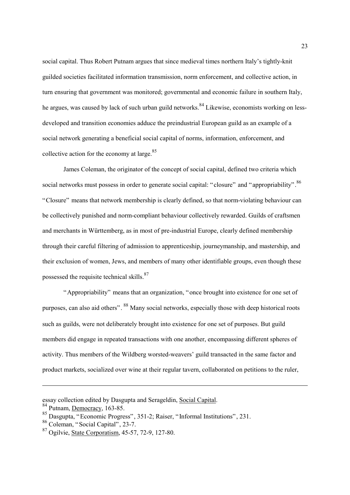social capital. Thus Robert Putnam argues that since medieval times northern Italy's tightly-knit guilded societies facilitated information transmission, norm enforcement, and collective action, in turn ensuring that government was monitored; governmental and economic failure in southern Italy, he argues, was caused by lack of such urban guild networks.<sup>84</sup> Likewise, economists working on lessdeveloped and transition economies adduce the preindustrial European guild as an example of a social network generating a beneficial social capital of norms, information, enforcement, and collective action for the economy at large. $85$ 

James Coleman, the originator of the concept of social capital, defined two criteria which social networks must possess in order to generate social capital: "closure" and "appropriability". <sup>[86](#page-24-2)</sup> "Closure" means that network membership is clearly defined, so that norm-violating behaviour can be collectively punished and norm-compliant behaviour collectively rewarded. Guilds of craftsmen and merchants in Württemberg, as in most of pre-industrial Europe, clearly defined membership through their careful filtering of admission to apprenticeship, journeymanship, and mastership, and their exclusion of women, Jews, and members of many other identifiable groups, even though these possessed the requisite technical skills.<sup>[87](#page-24-3)</sup>

"Appropriability" means that an organization, "once brought into existence for one set of purposes, can also aid others". [88 M](#page-24-4)any social networks, especially those with deep historical roots such as guilds, were not deliberately brought into existence for one set of purposes. But guild members did engage in repeated transactions with one another, encompassing different spheres of activity. Thus members of the Wildberg worsted-weavers' guild transacted in the same factor and product markets, socialized over wine at their regular tavern, collaborated on petitions to the ruler,

<span id="page-24-4"></span>essay collection edited by Dasgupta and Serageldin, Social Capital.<br><sup>84</sup> Putnam, <u>Democracy</u>, 163-85.

<span id="page-24-0"></span>

<span id="page-24-1"></span><sup>85</sup> Dasgupta, "Economic Progress", 351-2; Raiser, "Informal Institutions", 231.

<span id="page-24-2"></span><sup>86</sup> Coleman, "Social Capital", 23-7.

<span id="page-24-3"></span><sup>87</sup> Ogilvie, State Corporatism, 45-57, 72-9, 127-80.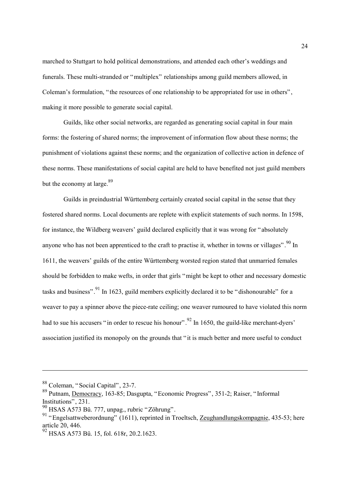marched to Stuttgart to hold political demonstrations, and attended each other's weddings and funerals. These multi-stranded or "multiplex" relationships among guild members allowed, in Coleman's formulation, "the resources of one relationship to be appropriated for use in others", making it more possible to generate social capital.

Guilds, like other social networks, are regarded as generating social capital in four main forms: the fostering of shared norms; the improvement of information flow about these norms; the punishment of violations against these norms; and the organization of collective action in defence of these norms. These manifestations of social capital are held to have benefited not just guild members but the economy at large. $89$ 

Guilds in preindustrial Württemberg certainly created social capital in the sense that they fostered shared norms. Local documents are replete with explicit statements of such norms. In 1598, for instance, the Wildberg weavers' guild declared explicitly that it was wrong for "absolutely anyone who has not been apprenticed to the craft to practise it, whether in towns or villages".  $90 \text{ In}$  $90 \text{ In}$ 1611, the weavers' guilds of the entire Württemberg worsted region stated that unmarried females should be forbidden to make wefts, in order that girls "might be kept to other and necessary domestic tasks and business". <sup>91</sup> In 1623, guild members explicitly declared it to be "dishonourable" for a weaver to pay a spinner above the piece-rate ceiling; one weaver rumoured to have violated this norm had to sue his accusers "in order to rescue his honour".<sup>92</sup> In 1650, the guild-like merchant-dyers' association justified its monopoly on the grounds that "it is much better and more useful to conduct

<sup>88</sup> Coleman, "Social Capital", 23-7.

<span id="page-25-0"></span><sup>89</sup> Putnam, Democracy, 163-85; Dasgupta, "Economic Progress", 351-2; Raiser, "Informal Institutions", 231.

<span id="page-25-1"></span> $90$  HSAS A573 Bü. 777, unpag., rubric "Zöhrung".

<span id="page-25-2"></span><sup>&</sup>lt;sup>91</sup> "Engelsattweberordnung" (1611), reprinted in Troeltsch, <u>Zeughandlungskompagnie</u>, 435-53; here article 20, 446.

<span id="page-25-3"></span> $^{92}$  HSAS A573 Bü. 15, fol. 618r, 20.2.1623.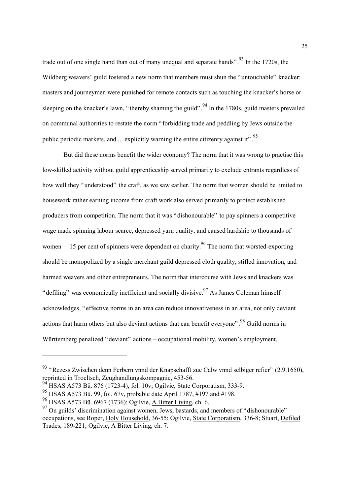trade out of one single hand than out of many unequal and separate hands". <sup>93</sup> In the 1720s, the Wildberg weavers' guild fostered a new norm that members must shun the "untouchable" knacker: masters and journeymen were punished for remote contacts such as touching the knacker's horse or sleeping on the knacker's lawn, "thereby shaming the guild".  $94$  In the 1780s, guild masters prevailed on communal authorities to restate the norm "forbidding trade and peddling by Jews outside the public periodic markets, and  $\ldots$  explicitly warning the entire citizenry against it".<sup>[95](#page-26-2)</sup>

But did these norms benefit the wider economy? The norm that it was wrong to practise this low-skilled activity without guild apprenticeship served primarily to exclude entrants regardless of how well they "understood" the craft, as we saw earlier. The norm that women should be limited to housework rather earning income from craft work also served primarily to protect established producers from competition. The norm that it was "dishonourable" to pay spinners a competitive wage made spinning labour scarce, depressed yarn quality, and caused hardship to thousands of women – 15 per cent of spinners were dependent on charity.<sup>96</sup> The norm that worsted-exporting should be monopolized by a single merchant guild depressed cloth quality, stifled innovation, and harmed weavers and other entrepreneurs. The norm that intercourse with Jews and knackers was "defiling" was economically inefficient and socially divisive.  $97$  As James Coleman himself acknowledges, "effective norms in an area can reduce innovativeness in an area, not only deviant actions that harm others but also deviant actions that can benefit everyone". <sup>98</sup> Guild norms in Württemberg penalized "deviant" actions – occupational mobility, women's employment,

<span id="page-26-0"></span><sup>&</sup>lt;sup>93</sup> "Rezess Zwischen denn Ferbern vnnd der Knapschafft zue Calw vnnd selbiger refier" (2.9.1650), reprinted in Troeltsch, Zeughandlungskompagnie, 453-56.

<span id="page-26-1"></span><sup>94&</sup>lt;br><sup>94</sup> HSAS A573 Bü. 876 (1723-4), fol. 10v; Ogilvie, <u>State Corporatism</u>, 333-9.

<span id="page-26-2"></span><sup>95</sup> HSAS A573 Bü. 99, fol. 67v, probable date April 1787, #197 and #198.

<span id="page-26-5"></span><span id="page-26-3"></span><sup>&</sup>lt;sup>96</sup> HSAS A573 Bü. 6967 (1736); Ogilvie, <u>A Bitter Living</u>, ch. 6.

<span id="page-26-4"></span><sup>&</sup>lt;sup>97</sup> On guilds' discrimination against women, Jews, bastards, and members of "dishonourable" occupations, see Roper, Holy Household, 36-55; Ogilvie, State Corporatism, 336-8; Stuart, Defiled Trades, 189-221; Ogilvie, A Bitter Living, ch. 7.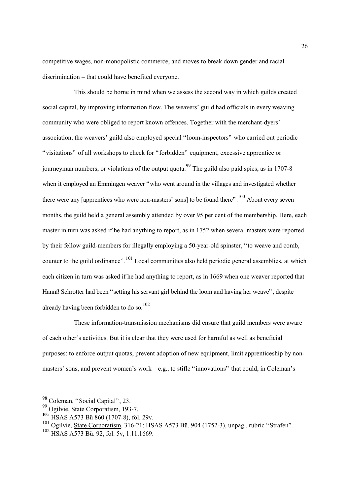competitive wages, non-monopolistic commerce, and moves to break down gender and racial discrimination – that could have benefited everyone.

This should be borne in mind when we assess the second way in which guilds created social capital, by improving information flow. The weavers' guild had officials in every weaving community who were obliged to report known offences. Together with the merchant-dyers' association, the weavers' guild also employed special "loom-inspectors" who carried out periodic "visitations" of all workshops to check for "forbidden" equipment, excessive apprentice or journeyman numbers, or violations of the output quota.<sup>99</sup> The guild also paid spies, as in 1707-8 when it employed an Emmingen weaver "who went around in the villages and investigated whether there were any [apprentices who were non-masters' sons] to be found there".<sup>100</sup> About every seven months, the guild held a general assembly attended by over 95 per cent of the membership. Here, each master in turn was asked if he had anything to report, as in 1752 when several masters were reported by their fellow guild-members for illegally employing a 50-year-old spinster, "to weave and comb, counter to the guild ordinance". <sup>101</sup> Local communities also held periodic general assemblies, at which each citizen in turn was asked if he had anything to report, as in 1669 when one weaver reported that Hannß Schrotter had been "setting his servant girl behind the loom and having her weave", despite already having been forbidden to do so.<sup>102</sup>

These information-transmission mechanisms did ensure that guild members were aware of each other's activities. But it is clear that they were used for harmful as well as beneficial purposes: to enforce output quotas, prevent adoption of new equipment, limit apprenticeship by nonmasters' sons, and prevent women's work – e.g., to stifle "innovations" that could, in Coleman's

<sup>98</sup> Coleman, "Social Capital", 23.

<span id="page-27-0"></span><sup>99</sup> Ogilvie, State Corporatism, 193-7.

<span id="page-27-1"></span><sup>100.</sup> HSAS A573 Bü 860 (1707-8), fol. 29v.

<span id="page-27-2"></span><sup>&</sup>lt;sup>101</sup> Ogilvie, State Corporatism, 316-21; HSAS A573 Bü. 904 (1752-3), unpag., rubric "Strafen".

<span id="page-27-3"></span><sup>&</sup>lt;sup>102</sup> HSAS A573 Bü. 92, fol. 5v, 1.11.1669.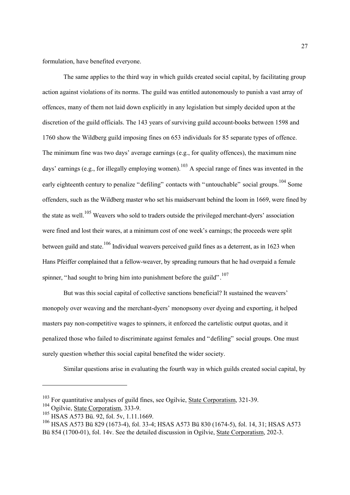formulation, have benefited everyone.

The same applies to the third way in which guilds created social capital, by facilitating group action against violations of its norms. The guild was entitled autonomously to punish a vast array of offences, many of them not laid down explicitly in any legislation but simply decided upon at the discretion of the guild officials. The 143 years of surviving guild account-books between 1598 and 1760 show the Wildberg guild imposing fines on 653 individuals for 85 separate types of offence. The minimum fine was two days' average earnings (e.g., for quality offences), the maximum nine days' earnings (e.g., for illegally employing women).<sup>103</sup> A special range of fines was invented in the early eighteenth century to penalize "defiling" contacts with "untouchable" social groups.<sup>104</sup> Some offenders, such as the Wildberg master who set his maidservant behind the loom in 1669, were fined by the state as well.<sup>105</sup> Weavers who sold to traders outside the privileged merchant-dyers' association were fined and lost their wares, at a minimum cost of one week's earnings; the proceeds were split between guild and state.<sup>106</sup> Individual weavers perceived guild fines as a deterrent, as in 1623 when Hans Pfeiffer complained that a fellow-weaver, by spreading rumours that he had overpaid a female spinner, "had sought to bring him into punishment before the guild".<sup>[107](#page-28-4)</sup>

But was this social capital of collective sanctions beneficial? It sustained the weavers' monopoly over weaving and the merchant-dyers' monopsony over dyeing and exporting, it helped masters pay non-competitive wages to spinners, it enforced the cartelistic output quotas, and it penalized those who failed to discriminate against females and "defiling" social groups. One must surely question whether this social capital benefited the wider society.

Similar questions arise in evaluating the fourth way in which guilds created social capital, by

<span id="page-28-4"></span><span id="page-28-0"></span><sup>103</sup> For quantitative analyses of guild fines, see Ogilvie, State Corporatism, 321-39.

<span id="page-28-1"></span><sup>&</sup>lt;sup>104</sup> Ogilvie, State Corporatism, 333-9.

<span id="page-28-2"></span><sup>105</sup> HSAS A573 Bü. 92, fol. 5v, 1.11.1669.

<span id="page-28-3"></span><sup>106</sup> HSAS A573 Bü 829 (1673-4), fol. 33-4; HSAS A573 Bü 830 (1674-5), fol. 14, 31; HSAS A573 Bü 854 (1700-01), fol. 14v. See the detailed discussion in Ogilvie, State Corporatism, 202-3.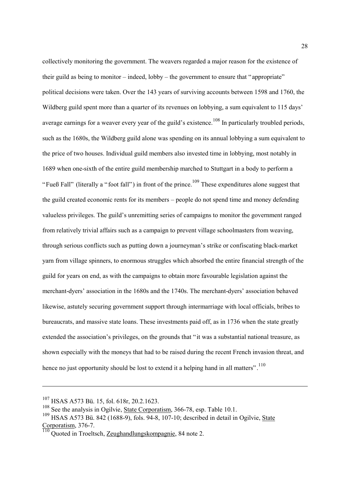collectively monitoring the government. The weavers regarded a major reason for the existence of their guild as being to monitor – indeed, lobby – the government to ensure that "appropriate" political decisions were taken. Over the 143 years of surviving accounts between 1598 and 1760, the Wildberg guild spent more than a quarter of its revenues on lobbying, a sum equivalent to 115 days' average earnings for a weaver every year of the guild's existence.<sup>108</sup> In particularly troubled periods, such as the 1680s, the Wildberg guild alone was spending on its annual lobbying a sum equivalent to the price of two houses. Individual guild members also invested time in lobbying, most notably in 1689 when one-sixth of the entire guild membership marched to Stuttgart in a body to perform a "Fueß Fall" (literally a "foot fall") in front of the prince.<sup>109</sup> These expenditures alone suggest that the guild created economic rents for its members – people do not spend time and money defending valueless privileges. The guild's unremitting series of campaigns to monitor the government ranged from relatively trivial affairs such as a campaign to prevent village schoolmasters from weaving, through serious conflicts such as putting down a journeyman's strike or confiscating black-market yarn from village spinners, to enormous struggles which absorbed the entire financial strength of the guild for years on end, as with the campaigns to obtain more favourable legislation against the merchant-dyers' association in the 1680s and the 1740s. The merchant-dyers' association behaved likewise, astutely securing government support through intermarriage with local officials, bribes to bureaucrats, and massive state loans. These investments paid off, as in 1736 when the state greatly extended the association's privileges, on the grounds that "it was a substantial national treasure, as shown especially with the moneys that had to be raised during the recent French invasion threat, and hence no just opportunity should be lost to extend it a helping hand in all matters".<sup>[110](#page-29-2)</sup>

<sup>107</sup> HSAS A573 Bü. 15, fol. 618r, 20.2.1623.

<span id="page-29-0"></span><sup>&</sup>lt;sup>108</sup> See the analysis in Ogilvie, State Corporatism, 366-78, esp. Table 10.1.

<span id="page-29-1"></span><sup>&</sup>lt;sup>109</sup> HSAS A573 Bü. 842 (1688-9), fols. 94-8, 107-10; described in detail in Ogilvie, State Corporatism, 376-7.

<span id="page-29-2"></span><sup>&</sup>lt;u>110</u> Quoted in Troeltsch, <u>Zeughandlungskompagnie</u>, 84 note 2.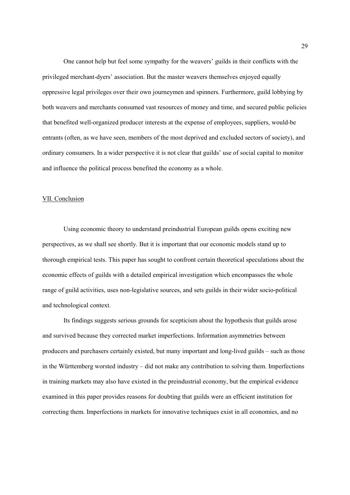One cannot help but feel some sympathy for the weavers' guilds in their conflicts with the privileged merchant-dyers' association. But the master weavers themselves enjoyed equally oppressive legal privileges over their own journeymen and spinners. Furthermore, guild lobbying by both weavers and merchants consumed vast resources of money and time, and secured public policies that benefited well-organized producer interests at the expense of employees, suppliers, would-be entrants (often, as we have seen, members of the most deprived and excluded sectors of society), and ordinary consumers. In a wider perspective it is not clear that guilds' use of social capital to monitor and influence the political process benefited the economy as a whole.

#### VII. Conclusion

Using economic theory to understand preindustrial European guilds opens exciting new perspectives, as we shall see shortly. But it is important that our economic models stand up to thorough empirical tests. This paper has sought to confront certain theoretical speculations about the economic effects of guilds with a detailed empirical investigation which encompasses the whole range of guild activities, uses non-legislative sources, and sets guilds in their wider socio-political and technological context.

Its findings suggests serious grounds for scepticism about the hypothesis that guilds arose and survived because they corrected market imperfections. Information asymmetries between producers and purchasers certainly existed, but many important and long-lived guilds – such as those in the Württemberg worsted industry – did not make any contribution to solving them. Imperfections in training markets may also have existed in the preindustrial economy, but the empirical evidence examined in this paper provides reasons for doubting that guilds were an efficient institution for correcting them. Imperfections in markets for innovative techniques exist in all economies, and no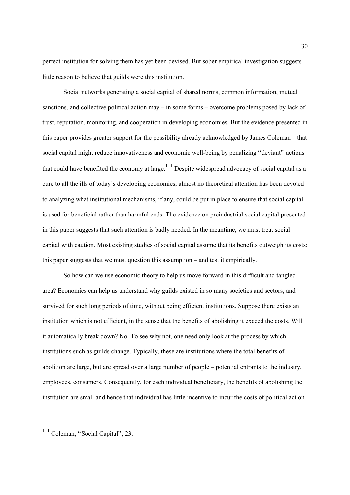perfect institution for solving them has yet been devised. But sober empirical investigation suggests little reason to believe that guilds were this institution.

Social networks generating a social capital of shared norms, common information, mutual sanctions, and collective political action may – in some forms – overcome problems posed by lack of trust, reputation, monitoring, and cooperation in developing economies. But the evidence presented in this paper provides greater support for the possibility already acknowledged by James Coleman – that social capital might reduce innovativeness and economic well-being by penalizing "deviant" actions that could have benefited the economy at large.<sup>111</sup> Despite widespread advocacy of social capital as a cure to all the ills of today's developing economies, almost no theoretical attention has been devoted to analyzing what institutional mechanisms, if any, could be put in place to ensure that social capital is used for beneficial rather than harmful ends. The evidence on preindustrial social capital presented in this paper suggests that such attention is badly needed. In the meantime, we must treat social capital with caution. Most existing studies of social capital assume that its benefits outweigh its costs; this paper suggests that we must question this assumption – and test it empirically.

So how can we use economic theory to help us move forward in this difficult and tangled area? Economics can help us understand why guilds existed in so many societies and sectors, and survived for such long periods of time, without being efficient institutions. Suppose there exists an institution which is not efficient, in the sense that the benefits of abolishing it exceed the costs. Will it automatically break down? No. To see why not, one need only look at the process by which institutions such as guilds change. Typically, these are institutions where the total benefits of abolition are large, but are spread over a large number of people – potential entrants to the industry, employees, consumers. Consequently, for each individual beneficiary, the benefits of abolishing the institution are small and hence that individual has little incentive to incur the costs of political action

<span id="page-31-0"></span><sup>&</sup>lt;sup>111</sup> Coleman, "Social Capital", 23.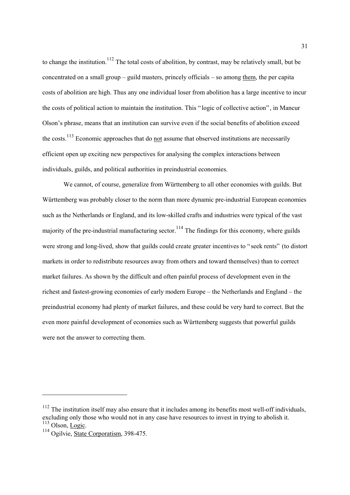to change the institution.<sup>112</sup> The total costs of abolition, by contrast, may be relatively small, but be concentrated on a small group – guild masters, princely officials – so among them, the per capita costs of abolition are high. Thus any one individual loser from abolition has a large incentive to incur the costs of political action to maintain the institution. This "logic of collective action", in Mancur Olson's phrase, means that an institution can survive even if the social benefits of abolition exceed the costs.<sup>113</sup> Economic approaches that do not assume that observed institutions are necessarily efficient open up exciting new perspectives for analysing the complex interactions between individuals, guilds, and political authorities in preindustrial economies.

We cannot, of course, generalize from Württemberg to all other economies with guilds. But Württemberg was probably closer to the norm than more dynamic pre-industrial European economies such as the Netherlands or England, and its low-skilled crafts and industries were typical of the vast majority of the pre-industrial manufacturing sector.<sup>114</sup> The findings for this economy, where guilds were strong and long-lived, show that guilds could create greater incentives to "seek rents" (to distort markets in order to redistribute resources away from others and toward themselves) than to correct market failures. As shown by the difficult and often painful process of development even in the richest and fastest-growing economies of early modern Europe – the Netherlands and England – the preindustrial economy had plenty of market failures, and these could be very hard to correct. But the even more painful development of economies such as Württemberg suggests that powerful guilds were not the answer to correcting them.

<span id="page-32-0"></span> $112$  The institution itself may also ensure that it includes among its benefits most well-off individuals, excluding only those who would not in any case have resources to invest in trying to abolish it.<br><sup>113</sup> Olson, <u>Logic</u>.

<span id="page-32-2"></span><span id="page-32-1"></span><sup>114</sup> Ogilvie, State Corporatism, 398-475.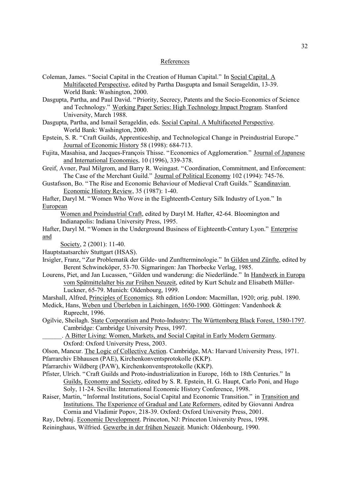#### References

- Coleman, James. "Social Capital in the Creation of Human Capital." In Social Capital. A Multifaceted Perspective, edited by Partha Dasgupta and Ismail Serageldin, 13-39. World Bank: Washington, 2000.
- Dasgupta, Partha, and Paul David. "Priority, Secrecy, Patents and the Socio-Economics of Science and Technology." Working Paper Series: High Technology Impact Program. Stanford University, March 1988.
- Dasgupta, Partha, and Ismail Serageldin, eds. Social Capital. A Multifaceted Perspective. World Bank: Washington, 2000.
- Epstein, S. R. "Craft Guilds, Apprenticeship, and Technological Change in Preindustrial Europe." Journal of Economic History 58 (1998): 684-713.
- Fujita, Masahisa, and Jacques-François Thisse. "Economics of Agglomeration." Journal of Japanese and International Economies, 10 (1996), 339-378.
- Greif, Avner, Paul Milgrom, and Barry R. Weingast. "Coordination, Commitment, and Enforcement: The Case of the Merchant Guild." Journal of Political Economy 102 (1994): 745-76.
- Gustafsson, Bo. "The Rise and Economic Behaviour of Medieval Craft Guilds." Scandinavian Economic History Review, 35 (1987): 1-40.
- Hafter, Daryl M. "Women Who Wove in the Eighteenth-Century Silk Industry of Lyon." In European
	- Women and Preindustrial Craft, edited by Daryl M. Hafter, 42-64. Bloomington and Indianapolis: Indiana University Press, 1995.
- Hafter, Daryl M. "Women in the Underground Business of Eighteenth-Century Lyon." Enterprise and
	- Society, 2 (2001): 11-40.
- Hauptstaatsarchiv Stuttgart (HSAS).
- Irsigler, Franz, "Zur Problematik der Gilde- und Zunftterminologie." In Gilden und Zünfte, edited by Berent Schwineköper, 53-70. Sigmaringen: Jan Thorbecke Verlag, 1985.
- Lourens, Piet, and Jan Lucassen, "Gilden und wanderung: die Niederlände." In Handwerk in Europa vom Spätmittelalter bis zur Frühen Neuzeit, edited by Kurt Schulz and Elisabeth Müller-Luckner, 65-79. Munich: Oldenbourg, 1999.
- Marshall, Alfred, Principles of Economics. 8th edition London: Macmillan, 1920; orig. publ. 1890.
- Medick, Hans, Weben und Überleben in Laichingen, 1650-1900. Göttingen: Vandenhoek & Ruprecht, 1996.
- Ogilvie, Sheilagh. State Corporatism and Proto-Industry: The Württemberg Black Forest, 1580-1797. Cambridge: Cambridge University Press, 1997.
	- . A Bitter Living: Women, Markets, and Social Capital in Early Modern Germany. Oxford: Oxford University Press, 2003.
- Olson, Mancur. The Logic of Collective Action. Cambridge, MA: Harvard University Press, 1971. Pfarrarchiv Ebhausen (PAE), Kirchenkonventsprotokolle (KKP).
- Pfarrarchiv Wildberg (PAW), Kirchenkonventsprotokolle (KKP).
- Pfister, Ulrich. "Craft Guilds and Proto-industrialization in Europe, 16th to 18th Centuries." In Guilds, Economy and Society, edited by S. R. Epstein, H. G. Haupt, Carlo Poni, and Hugo Soly, 11-24. Sevilla: International Economic History Conference, 1998.
- Raiser, Martin, "Informal Institutions, Social Capital and Economic Transition." in Transition and Institutions. The Experience of Gradual and Late Reformers, edited by Giovanni Andrea Cornia and Vladimir Popov, 218-39. Oxford: Oxford University Press, 2001.
- Ray, Debraj. Economic Development. Princeton, NJ: Princeton University Press, 1998.
- Reininghaus, Wilfried. Gewerbe in der frühen Neuzeit. Munich: Oldenbourg, 1990.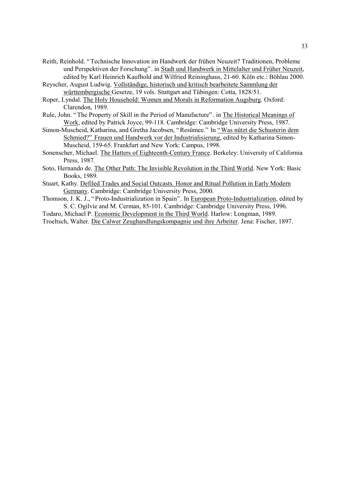Reith, Reinhold. "Technische Innovation im Handwerk der frühen Neuzeit? Traditionen, Probleme und Perspektiven der Forschung". in Stadt und Handwerk in Mittelalter und Früher Neuzeit, edited by Karl Heinrich Kaufhold and Wilfried Reininghaus, 21-60. Köln etc.: Böhlau 2000.

Reyscher, August Ludwig. Vollständige, historisch und kritisch bearbeitete Sammlung der württembergische Gesetze, 19 vols. Stuttgart and Tübingen: Cotta, 1828/51.

Roper, Lyndal. The Holy Household: Women and Morals in Reformation Augsburg. Oxford: Clarendon, 1989.

Rule, John. "The Property of Skill in the Period of Manufacture". in The Historical Meanings of Work, edited by Patrick Joyce, 99-118. Cambridge: Cambridge University Press, 1987.

Simon-Muscheid, Katharina, and Gretha Jacobsen, "Resümee." In "Was nützt die Schusterin dem Schmied?" Frauen und Handwerk vor der Industrialisierung, edited by Katharina Simon-Muscheid, 159-65. Frankfurt and New York: Campus, 1998.

Sonenscher, Michael. The Hatters of Eighteenth-Century France. Berkeley: University of California Press, 1987.

Soto, Hernando de. The Other Path: The Invisible Revolution in the Third World. New York: Basic Books, 1989.

Stuart, Kathy. Defiled Trades and Social Outcasts. Honor and Ritual Pollution in Early Modern Germany. Cambridge: Cambridge University Press, 2000.

Thomson, J. K. J., "Proto-Industrialization in Spain". In European Proto-Industrialization, edited by S. C. Ogilvie and M. Cerman, 85-101. Cambridge: Cambridge University Press, 1996.

Todaro, Michael P. Economic Development in the Third World. Harlow: Longman, 1989.

Troeltsch, Walter. Die Calwer Zeughandlungskompagnie und ihre Arbeiter. Jena: Fischer, 1897.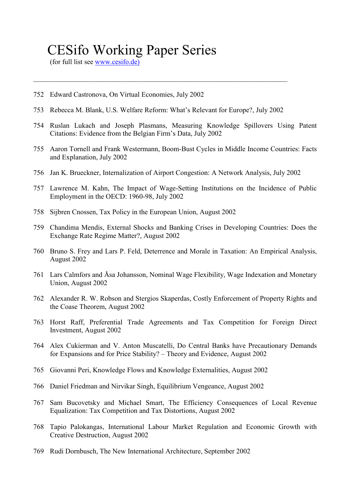## CESifo Working Paper Series

(for full list see [www.cesifo.de\)](http://www.cesifo.de.)/)

- 752 Edward Castronova, On Virtual Economies, July 2002
- 753 Rebecca M. Blank, U.S. Welfare Reform: What's Relevant for Europe?, July 2002

 $\mathcal{L}_\text{max}$  , and the contribution of the contribution of the contribution of the contribution of the contribution of the contribution of the contribution of the contribution of the contribution of the contribution of t

- 754 Ruslan Lukach and Joseph Plasmans, Measuring Knowledge Spillovers Using Patent Citations: Evidence from the Belgian Firm's Data, July 2002
- 755 Aaron Tornell and Frank Westermann, Boom-Bust Cycles in Middle Income Countries: Facts and Explanation, July 2002
- 756 Jan K. Brueckner, Internalization of Airport Congestion: A Network Analysis, July 2002
- 757 Lawrence M. Kahn, The Impact of Wage-Setting Institutions on the Incidence of Public Employment in the OECD: 1960-98, July 2002
- 758 Sijbren Cnossen, Tax Policy in the European Union, August 2002
- 759 Chandima Mendis, External Shocks and Banking Crises in Developing Countries: Does the Exchange Rate Regime Matter?, August 2002
- 760 Bruno S. Frey and Lars P. Feld, Deterrence and Morale in Taxation: An Empirical Analysis, August 2002
- 761 Lars Calmfors and Åsa Johansson, Nominal Wage Flexibility, Wage Indexation and Monetary Union, August 2002
- 762 Alexander R. W. Robson and Stergios Skaperdas, Costly Enforcement of Property Rights and the Coase Theorem, August 2002
- 763 Horst Raff, Preferential Trade Agreements and Tax Competition for Foreign Direct Investment, August 2002
- 764 Alex Cukierman and V. Anton Muscatelli, Do Central Banks have Precautionary Demands for Expansions and for Price Stability? – Theory and Evidence, August 2002
- 765 Giovanni Peri, Knowledge Flows and Knowledge Externalities, August 2002
- 766 Daniel Friedman and Nirvikar Singh, Equilibrium Vengeance, August 2002
- 767 Sam Bucovetsky and Michael Smart, The Efficiency Consequences of Local Revenue Equalization: Tax Competition and Tax Distortions, August 2002
- 768 Tapio Palokangas, International Labour Market Regulation and Economic Growth with Creative Destruction, August 2002
- 769 Rudi Dornbusch, The New International Architecture, September 2002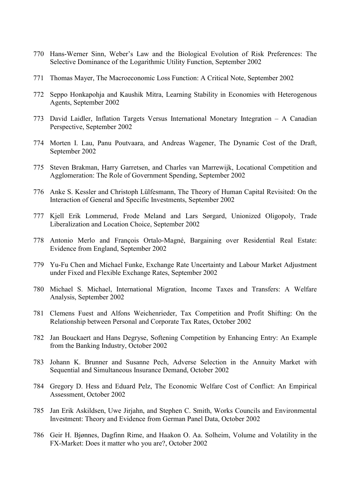- 770 Hans-Werner Sinn, Weber's Law and the Biological Evolution of Risk Preferences: The Selective Dominance of the Logarithmic Utility Function, September 2002
- 771 Thomas Mayer, The Macroeconomic Loss Function: A Critical Note, September 2002
- 772 Seppo Honkapohja and Kaushik Mitra, Learning Stability in Economies with Heterogenous Agents, September 2002
- 773 David Laidler, Inflation Targets Versus International Monetary Integration A Canadian Perspective, September 2002
- 774 Morten I. Lau, Panu Poutvaara, and Andreas Wagener, The Dynamic Cost of the Draft, September 2002
- 775 Steven Brakman, Harry Garretsen, and Charles van Marrewijk, Locational Competition and Agglomeration: The Role of Government Spending, September 2002
- 776 Anke S. Kessler and Christoph Lülfesmann, The Theory of Human Capital Revisited: On the Interaction of General and Specific Investments, September 2002
- 777 Kjell Erik Lommerud, Frode Meland and Lars Sørgard, Unionized Oligopoly, Trade Liberalization and Location Choice, September 2002
- 778 Antonio Merlo and François Ortalo-Magné, Bargaining over Residential Real Estate: Evidence from England, September 2002
- 779 Yu-Fu Chen and Michael Funke, Exchange Rate Uncertainty and Labour Market Adjustment under Fixed and Flexible Exchange Rates, September 2002
- 780 Michael S. Michael, International Migration, Income Taxes and Transfers: A Welfare Analysis, September 2002
- 781 Clemens Fuest and Alfons Weichenrieder, Tax Competition and Profit Shifting: On the Relationship between Personal and Corporate Tax Rates, October 2002
- 782 Jan Bouckaert and Hans Degryse, Softening Competition by Enhancing Entry: An Example from the Banking Industry, October 2002
- 783 Johann K. Brunner and Susanne Pech, Adverse Selection in the Annuity Market with Sequential and Simultaneous Insurance Demand, October 2002
- 784 Gregory D. Hess and Eduard Pelz, The Economic Welfare Cost of Conflict: An Empirical Assessment, October 2002
- 785 Jan Erik Askildsen, Uwe Jirjahn, and Stephen C. Smith, Works Councils and Environmental Investment: Theory and Evidence from German Panel Data, October 2002
- 786 Geir H. Bjønnes, Dagfinn Rime, and Haakon O. Aa. Solheim, Volume and Volatility in the FX-Market: Does it matter who you are?, October 2002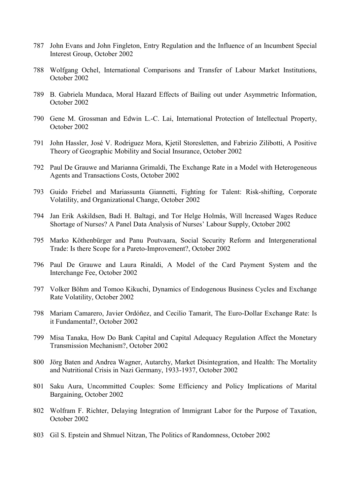- 787 John Evans and John Fingleton, Entry Regulation and the Influence of an Incumbent Special Interest Group, October 2002
- 788 Wolfgang Ochel, International Comparisons and Transfer of Labour Market Institutions, October 2002
- 789 B. Gabriela Mundaca, Moral Hazard Effects of Bailing out under Asymmetric Information, October 2002
- 790 Gene M. Grossman and Edwin L.-C. Lai, International Protection of Intellectual Property, October 2002
- 791 John Hassler, José V. Rodriguez Mora, Kjetil Storesletten, and Fabrizio Zilibotti, A Positive Theory of Geographic Mobility and Social Insurance, October 2002
- 792 Paul De Grauwe and Marianna Grimaldi, The Exchange Rate in a Model with Heterogeneous Agents and Transactions Costs, October 2002
- 793 Guido Friebel and Mariassunta Giannetti, Fighting for Talent: Risk-shifting, Corporate Volatility, and Organizational Change, October 2002
- 794 Jan Erik Askildsen, Badi H. Baltagi, and Tor Helge Holmås, Will Increased Wages Reduce Shortage of Nurses? A Panel Data Analysis of Nurses' Labour Supply, October 2002
- 795 Marko Köthenbürger and Panu Poutvaara, Social Security Reform and Intergenerational Trade: Is there Scope for a Pareto-Improvement?, October 2002
- 796 Paul De Grauwe and Laura Rinaldi, A Model of the Card Payment System and the Interchange Fee, October 2002
- 797 Volker Böhm and Tomoo Kikuchi, Dynamics of Endogenous Business Cycles and Exchange Rate Volatility, October 2002
- 798 Mariam Camarero, Javier Ordóñez, and Cecilio Tamarit, The Euro-Dollar Exchange Rate: Is it Fundamental?, October 2002
- 799 Misa Tanaka, How Do Bank Capital and Capital Adequacy Regulation Affect the Monetary Transmission Mechanism?, October 2002
- 800 Jörg Baten and Andrea Wagner, Autarchy, Market Disintegration, and Health: The Mortality and Nutritional Crisis in Nazi Germany, 1933-1937, October 2002
- 801 Saku Aura, Uncommitted Couples: Some Efficiency and Policy Implications of Marital Bargaining, October 2002
- 802 Wolfram F. Richter, Delaying Integration of Immigrant Labor for the Purpose of Taxation, October 2002
- 803 Gil S. Epstein and Shmuel Nitzan, The Politics of Randomness, October 2002